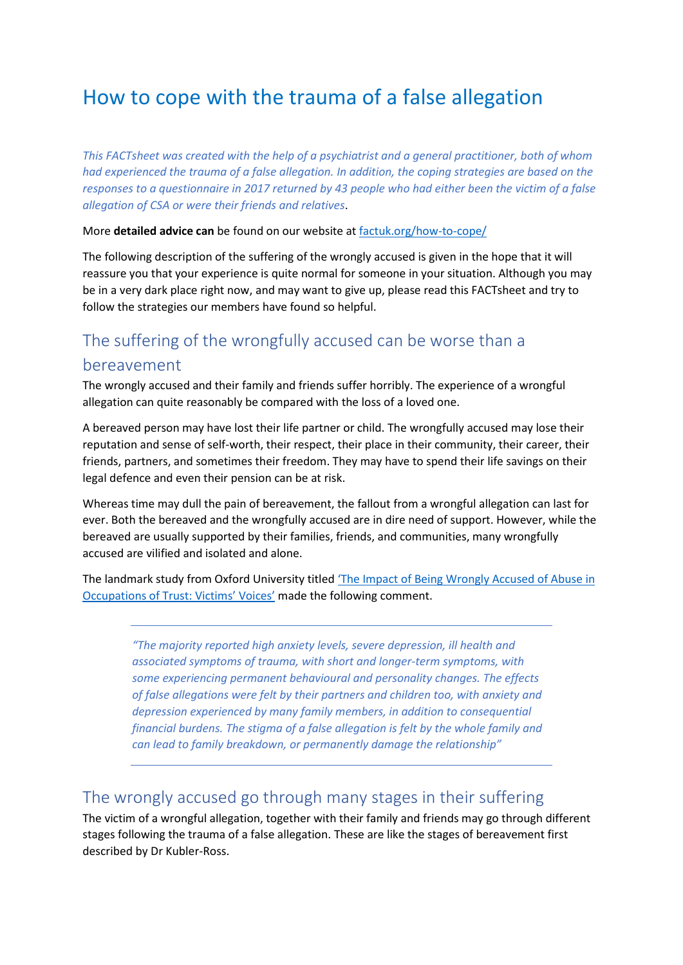# How to cope with the trauma of a false allegation

*This FACTsheet was created with the help of a psychiatrist and a general practitioner, both of whom had experienced the trauma of a false allegation. In addition, the coping strategies are based on the responses to a questionnaire in 2017 returned by 43 people who had either been the victim of a false allegation of CSA or were their friends and relatives*.

More **detailed advice can** be found on our website at [factuk.org/how-to-cope/](https://factuk.org/how-to-cope/)

The following description of the suffering of the wrongly accused is given in the hope that it will reassure you that your experience is quite normal for someone in your situation. Although you may be in a very dark place right now, and may want to give up, please read this FACTsheet and try to follow the strategies our members have found so helpful.

## The suffering of the wrongfully accused can be worse than a bereavement

The wrongly accused and their family and friends suffer horribly. The experience of a wrongful allegation can quite reasonably be compared with the loss of a loved one.

A bereaved person may have lost their life partner or child. The wrongfully accused may lose their reputation and sense of self-worth, their respect, their place in their community, their career, their friends, partners, and sometimes their freedom. They may have to spend their life savings on their legal defence and even their pension can be at risk.

Whereas time may dull the pain of bereavement, the fallout from a wrongful allegation can last for ever. Both the bereaved and the wrongfully accused are in dire need of support. However, while the bereaved are usually supported by their families, friends, and communities, many wrongfully accused are vilified and isolated and alone.

The landmark study from Oxford University titled 'The Impact of Being W[rongly Accused of Abuse in](https://www.law.ox.ac.uk/content/impact-being-wrongly-accused-victims-voices)  [Occupations of Trust: Victims' Voices'](https://www.law.ox.ac.uk/content/impact-being-wrongly-accused-victims-voices) made the following comment.

*"The majority reported high anxiety levels, severe depression, ill health and associated symptoms of trauma, with short and longer-term symptoms, with some experiencing permanent behavioural and personality changes. The effects of false allegations were felt by their partners and children too, with anxiety and depression experienced by many family members, in addition to consequential financial burdens. The stigma of a false allegation is felt by the whole family and can lead to family breakdown, or permanently damage the relationship"*

## The wrongly accused go through many stages in their suffering

The victim of a wrongful allegation, together with their family and friends may go through different stages following the trauma of a false allegation. These are like the stages of bereavement first described by Dr Kubler-Ross.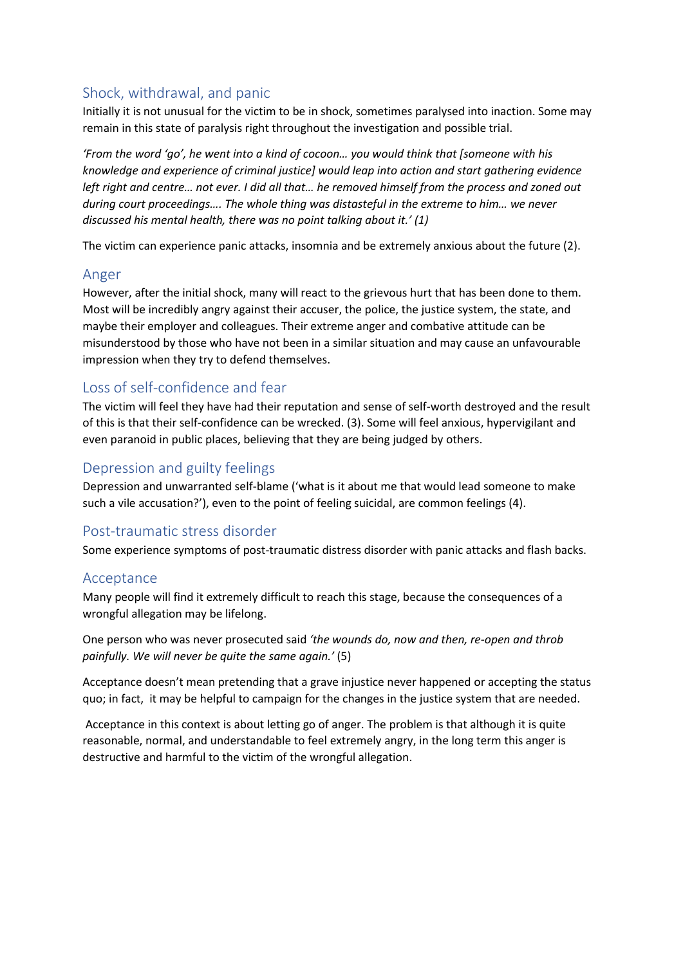### Shock, withdrawal, and panic

Initially it is not unusual for the victim to be in shock, sometimes paralysed into inaction. Some may remain in this state of paralysis right throughout the investigation and possible trial.

*'From the word 'go', he went into a kind of cocoon… you would think that [someone with his knowledge and experience of criminal justice] would leap into action and start gathering evidence left right and centre… not ever. I did all that… he removed himself from the process and zoned out during court proceedings…. The whole thing was distasteful in the extreme to him… we never discussed his mental health, there was no point talking about it.' (1)*

The victim can experience panic attacks, insomnia and be extremely anxious about the future (2).

#### Anger

However, after the initial shock, many will react to the grievous hurt that has been done to them. Most will be incredibly angry against their accuser, the police, the justice system, the state, and maybe their employer and colleagues. Their extreme anger and combative attitude can be misunderstood by those who have not been in a similar situation and may cause an unfavourable impression when they try to defend themselves.

#### Loss of self-confidence and fear

The victim will feel they have had their reputation and sense of self-worth destroyed and the result of this is that their self-confidence can be wrecked. (3). Some will feel anxious, hypervigilant and even paranoid in public places, believing that they are being judged by others.

#### Depression and guilty feelings

Depression and unwarranted self-blame ('what is it about me that would lead someone to make such a vile accusation?'), even to the point of feeling suicidal, are common feelings (4).

#### Post-traumatic stress disorder

Some experience symptoms of post-traumatic distress disorder with panic attacks and flash backs.

#### Acceptance

Many people will find it extremely difficult to reach this stage, because the consequences of a wrongful allegation may be lifelong.

One person who was never prosecuted said *'the wounds do, now and then, re-open and throb painfully. We will never be quite the same again.'* (5)

Acceptance doesn't mean pretending that a grave injustice never happened or accepting the status quo; in fact, it may be helpful to campaign for the changes in the justice system that are needed.

Acceptance in this context is about letting go of anger. The problem is that although it is quite reasonable, normal, and understandable to feel extremely angry, in the long term this anger is destructive and harmful to the victim of the wrongful allegation.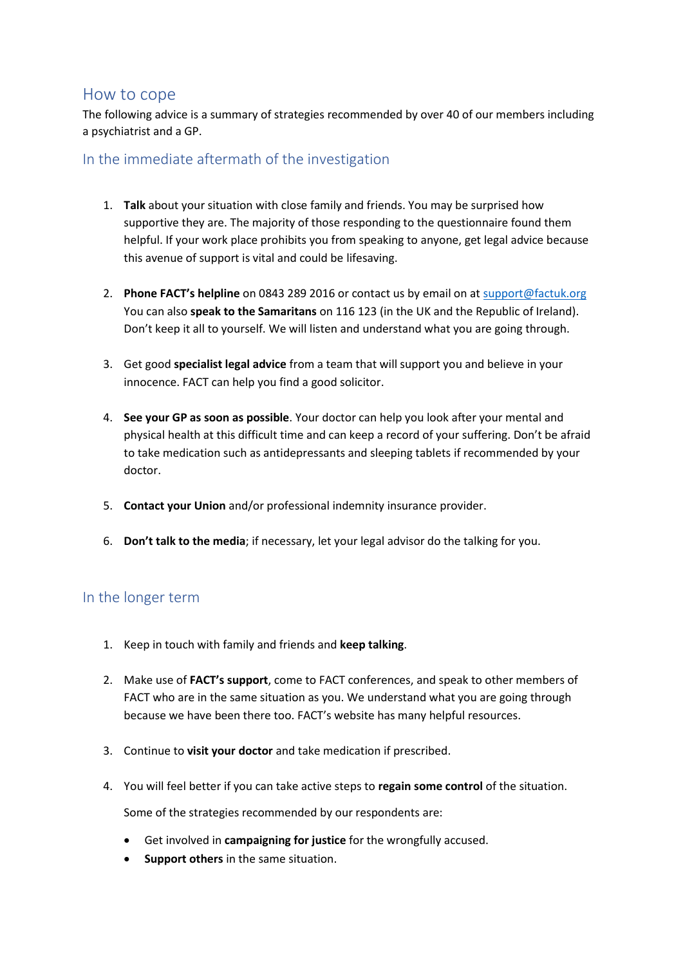#### How to cope

The following advice is a summary of strategies recommended by over 40 of our members including a psychiatrist and a GP.

#### In the immediate aftermath of the investigation

- 1. **Talk** about your situation with close family and friends. You may be surprised how supportive they are. The majority of those responding to the questionnaire found them helpful. If your work place prohibits you from speaking to anyone, get legal advice because this avenue of support is vital and could be lifesaving.
- 2. **Phone FACT's helpline** on 0843 289 2016 or contact us by email on at [support@factuk.org](mailto:support@factuk.org) You can also **speak to the Samaritans** on 116 123 (in the UK and the Republic of Ireland). Don't keep it all to yourself. We will listen and understand what you are going through.
- 3. Get good **specialist legal advice** from a team that will support you and believe in your innocence. FACT can help you find a good solicitor.
- 4. **See your GP as soon as possible**. Your doctor can help you look after your mental and physical health at this difficult time and can keep a record of your suffering. Don't be afraid to take medication such as antidepressants and sleeping tablets if recommended by your doctor.
- 5. **Contact your Union** and/or professional indemnity insurance provider.
- 6. **Don't talk to the media**; if necessary, let your legal advisor do the talking for you.

#### In the longer term

- 1. Keep in touch with family and friends and **keep talking**.
- 2. Make use of **FACT's support**, come to FACT conferences, and speak to other members of FACT who are in the same situation as you. We understand what you are going through because we have been there too. FACT's website has many helpful resources.
- 3. Continue to **visit your doctor** and take medication if prescribed.
- 4. You will feel better if you can take active steps to **regain some control** of the situation.

Some of the strategies recommended by our respondents are:

- Get involved in **campaigning for justice** for the wrongfully accused.
- **Support others** in the same situation.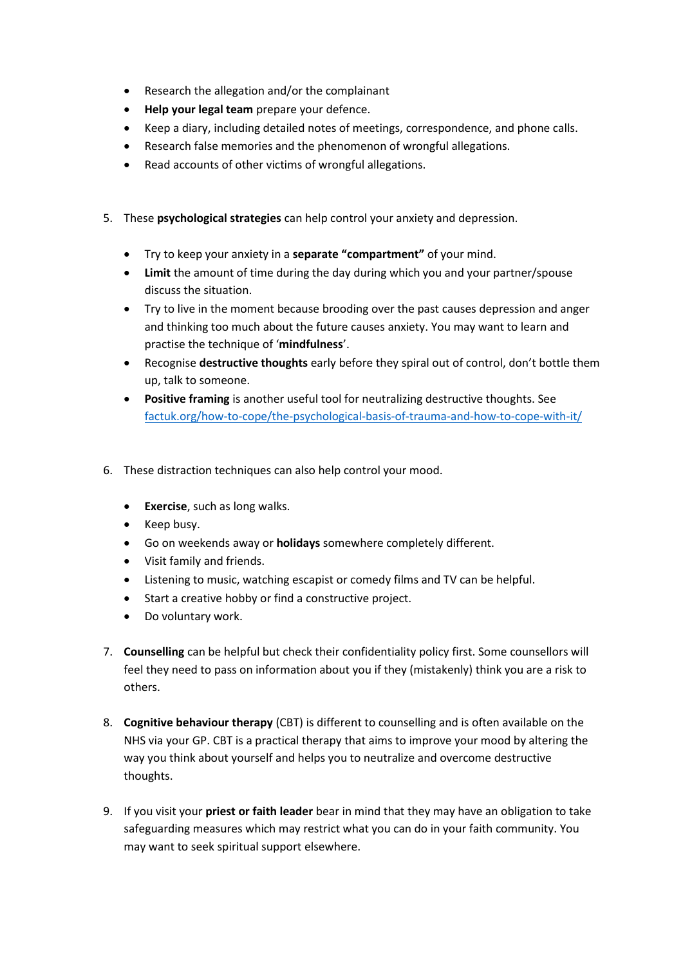- Research the allegation and/or the complainant
- **Help your legal team** prepare your defence.
- Keep a diary, including detailed notes of meetings, correspondence, and phone calls.
- Research false memories and the phenomenon of wrongful allegations.
- Read accounts of other victims of wrongful allegations.
- 5. These **psychological strategies** can help control your anxiety and depression.
	- Try to keep your anxiety in a **separate "compartment"** of your mind.
	- **Limit** the amount of time during the day during which you and your partner/spouse discuss the situation.
	- Try to live in the moment because brooding over the past causes depression and anger and thinking too much about the future causes anxiety. You may want to learn and practise the technique of '**mindfulness**'.
	- Recognise **destructive thoughts** early before they spiral out of control, don't bottle them up, talk to someone.
	- **Positive framing** is another useful tool for neutralizing destructive thoughts. See [factuk.org/how-to-cope/the-psychological-basis-of-trauma-and-how-to-cope-with-it/](https://factuk.org/how-to-cope/the-psychological-basis-of-trauma-and-how-to-cope-with-it/)
- 6. These distraction techniques can also help control your mood.
	- **Exercise**, such as long walks.
	- Keep busy.
	- Go on weekends away or **holidays** somewhere completely different.
	- Visit family and friends.
	- Listening to music, watching escapist or comedy films and TV can be helpful.
	- Start a creative hobby or find a constructive project.
	- Do voluntary work.
- 7. **Counselling** can be helpful but check their confidentiality policy first. Some counsellors will feel they need to pass on information about you if they (mistakenly) think you are a risk to others.
- 8. **Cognitive behaviour therapy** (CBT) is different to counselling and is often available on the NHS via your GP. CBT is a practical therapy that aims to improve your mood by altering the way you think about yourself and helps you to neutralize and overcome destructive thoughts.
- 9. If you visit your **priest or faith leader** bear in mind that they may have an obligation to take safeguarding measures which may restrict what you can do in your faith community. You may want to seek spiritual support elsewhere.